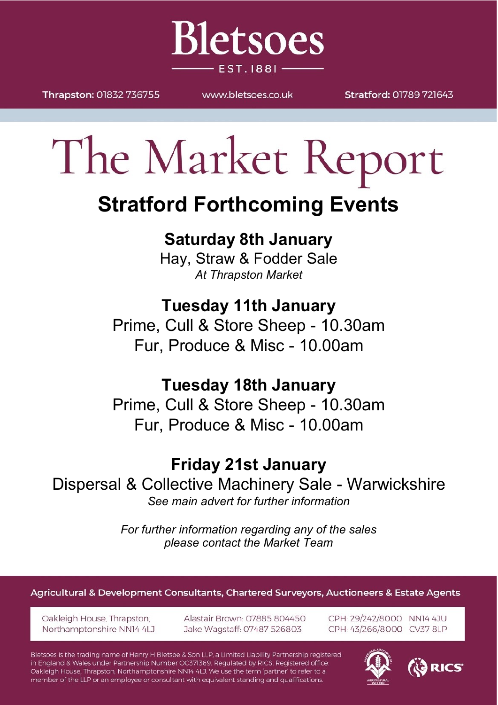

Thrapston: 01832 736755

WWW.bletsnes.co.uk

Stratford: 01789 721643

# The Market Report

# **Stratford Forthcoming Events**

# **Saturday 8th January**

Hay, Straw & Fodder Sale *At Thrapston Market*

# **Tuesday 11th January**

Prime, Cull & Store Sheep - 10.30am Fur, Produce & Misc - 10.00am

# **Tuesday 18th January**

Prime, Cull & Store Sheep - 10.30am Fur, Produce & Misc - 10.00am

# **Friday 21st January**

Dispersal & Collective Machinery Sale - Warwickshire *See main advert for further information*

> *For further information regarding any of the sales please contact the Market Team*

#### Agricultural & Development Consultants, Chartered Surveyors, Auctioneers & Estate Agents

Oakleigh House, Thrapston, Northamptonshire NN14 4LJ Alastair Brown: 07885 804450 Jake Wagstaff: 07487 526803

CPH: 29/242/8000 NN14 4JU CPH: 43/266/8000 CV37 8LP

3 RICS

Bletsoes is the trading name of Henry H Bletsoe & Son LLP, a Limited Liability Partnership registered in England & Wales under Partnership Number OC371369. Regulated by RICS. Registered office: Oakleigh House, Thrapston, Northamptonshire NN14 4LJ. We use the term 'partner' to refer to a member of the LLP or an employee or consultant with equivalent standing and qualifications.

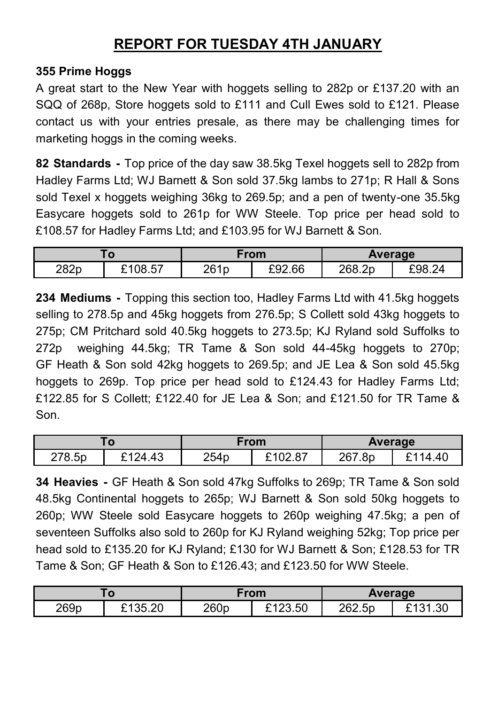## **REPORT FOR TUESDAY 4TH JANUARY**

#### **355 Prime Hoggs**

A great start to the New Year with hoggets selling to 282p or £137.20 with an SQQ of 268p, Store hoggets sold to £111 and Cull Ewes sold to £121. Please contact us with your entries presale, as there may be challenging times for marketing hoggs in the coming weeks.

**82 Standards -** Top price of the day saw 38.5kg Texel hoggets sell to 282p from Hadley Farms Ltd; WJ Barnett & Son sold 37.5kg lambs to 271p; R Hall & Sons sold Texel x hoggets weighing 36kg to 269.5p; and a pen of twenty-one 35.5kg Easycare hoggets sold to 261p for WW Steele. Top price per head sold to £108.57 for Hadley Farms Ltd; and £103.95 for WJ Barnett & Son.

| ō    |         | From |        | <b>Average</b> |        |
|------|---------|------|--------|----------------|--------|
| 282p | £108.57 | 261p | £92.66 | 268.2p         | F98 24 |

**234 Mediums -** Topping this section too, Hadley Farms Ltd with 41.5kg hoggets selling to 278.5p and 45kg hoggets from 276.5p; S Collett sold 43kg hoggets to 275p; CM Pritchard sold 40.5kg hoggets to 273.5p; KJ Ryland sold Suffolks to 272p weighing 44.5kg; TR Tame & Son sold 44-45kg hoggets to 270p; GF Heath & Son sold 42kg hoggets to 269.5p; and JE Lea & Son sold 45.5kg hoggets to 269p. Top price per head sold to £124.43 for Hadley Farms Ltd; £122.85 for S Collett; £122.40 for JE Lea & Son; and £121.50 for TR Tame & Son.

| O      |                           | From |       | Average |           |
|--------|---------------------------|------|-------|---------|-----------|
| 278.5p | $+43$<br><sub>ົ</sub> 124 | 254p | 02.87 | 267.8p  | .40<br>14 |

**34 Heavies -** GF Heath & Son sold 47kg Suffolks to 269p; TR Tame & Son sold 48.5kg Continental hoggets to 265p; WJ Barnett & Son sold 50kg hoggets to 260p; WW Steele sold Easycare hoggets to 260p weighing 47.5kg; a pen of seventeen Suffolks also sold to 260p for KJ Ryland weighing 52kg; Top price per head sold to £135.20 for KJ Ryland; £130 for WJ Barnett & Son; £128.53 for TR Tame & Son; GF Heath & Son to £126.43; and £123.50 for WW Steele.

| O    |                     | From |         | Average |      |
|------|---------------------|------|---------|---------|------|
| 269p | 5.20<br><b>6435</b> | 260p | £123.50 | 262.5p  | ៱៱៱៱ |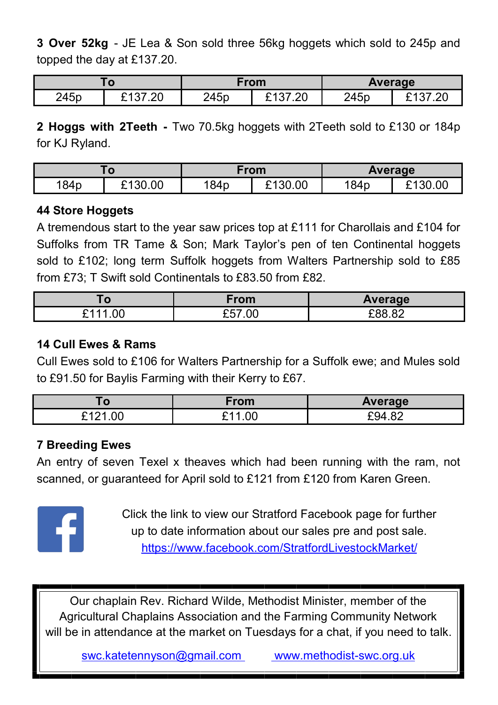**3 Over 52kg** - JE Lea & Son sold three 56kg hoggets which sold to 245p and topped the day at £137.20.

| . 0              |           | From |     | Average |          |
|------------------|-----------|------|-----|---------|----------|
| 245 <sub>p</sub> | ີ<br>ں ے. | 245p | .20 | 245p    | <u>_</u> |

**2 Hoggs with 2Teeth -** Two 70.5kg hoggets with 2Teeth sold to £130 or 184p for KJ Ryland.

| . v              |         | From |         | Average |       |
|------------------|---------|------|---------|---------|-------|
| 184 <sub>p</sub> | £130.00 | 184p | £130.00 | 184p    | 30.00 |

#### **44 Store Hoggets**

A tremendous start to the year saw prices top at £111 for Charollais and £104 for Suffolks from TR Tame & Son; Mark Taylor's pen of ten Continental hoggets sold to £102; long term Suffolk hoggets from Walters Partnership sold to £85 from £73; T Swift sold Continentals to £83.50 from £82.

|         | From              | Average                    |
|---------|-------------------|----------------------------|
| ◢<br>OC | $\sim$ $-$<br>.00 | roo<br>$\sim$<br>nη<br>,.u |

#### **14 Cull Ewes & Rams**

Cull Ewes sold to £106 for Walters Partnership for a Suffolk ewe; and Mules sold to £91.50 for Baylis Farming with their Kerry to £67.

| u            | From | Average      |
|--------------|------|--------------|
| 0.404<br>.00 | 00   | FQ4.<br>᠇.∪∠ |

#### **7 Breeding Ewes**

An entry of seven Texel x theaves which had been running with the ram, not scanned, or guaranteed for April sold to £121 from £120 from Karen Green.



Click the link to view our Stratford Facebook page for further up to date information about our sales pre and post sale. <https://www.facebook.com/StratfordLivestockMarket/>

Our chaplain Rev. Richard Wilde, Methodist Minister, member of the Agricultural Chaplains Association and the Farming Community Network will be in attendance at the market on Tuesdays for a chat, if you need to talk.

swc.katetennyson@gmail.com [www.methodist](http://www.Methodist-SWC.org.uk)-swc.org.uk